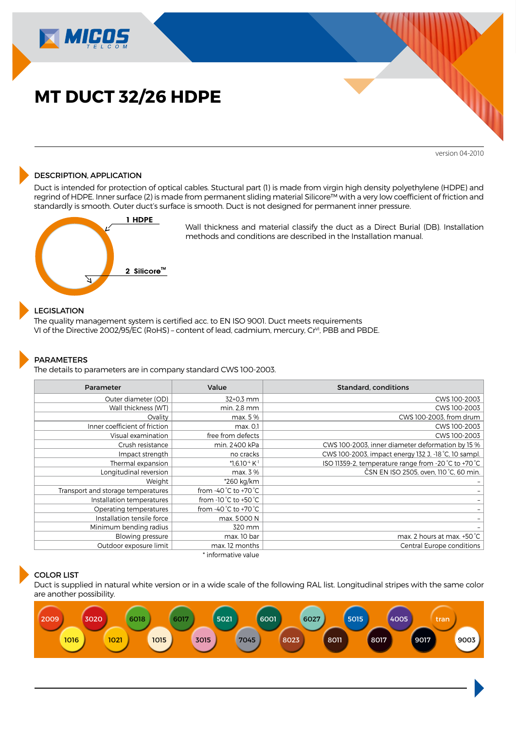

version 04-2010

## DESCRIPTION, APPLICATION

Duct is intended for protection of optical cables. Stuctural part (1) is made from virgin high density polyethylene (HDPE) and regrind of HDPE. Inner surface (2) is made from permanent sliding material Silicore™ with a very low coefficient of friction and standardly is smooth. Outer duct's surface is smooth. Duct is not designed for permanent inner pressure.



Wall thickness and material classify the duct as a Direct Burial (DB). Installation methods and conditions are described in the Installation manual.

# LEGISLATION

The quality management system is certified acc. to EN ISO 9001. Duct meets requirements VI of the Directive 2002/95/EC (RoHS) – content of lead, cadmium, mercury, Cr<sup>vI</sup>, PBB and PBDE.

#### PARAMETERS

The details to parameters are in company standard CWS 100-2003.

| Parameter                          | Value                                     | Standard, conditions                                 |  |
|------------------------------------|-------------------------------------------|------------------------------------------------------|--|
| Outer diameter (OD)                | 32+0,3 mm                                 | CWS 100-2003                                         |  |
| Wall thickness (WT)                | min. 2,8 mm                               | CWS 100-2003                                         |  |
| Ovality                            | max. 5 %                                  | CWS 100-2003, from drum                              |  |
| Inner coefficient of friction      | max. 0,1                                  | CWS 100-2003                                         |  |
| Visual examination                 | free from defects                         | CWS 100-2003                                         |  |
| Crush resistance                   | min. 2400 kPa                             | CWS 100-2003, inner diameter deformation by 15 %     |  |
| Impact strength                    | no cracks                                 | CWS 100-2003, impact energy 132 J, -18 °C, 10 sampl. |  |
| Thermal expansion                  | *1,6.10 <sup>-4</sup> K <sup>-1</sup>     | ISO 11359-2, temperature range from -20 °C to +70 °C |  |
| Longitudinal reversion             | max. 3 %                                  | ČSN EN ISO 2505, oven, 110 °C, 60 min.               |  |
| Weight                             | *260 kg/km                                |                                                      |  |
| Transport and storage temperatures | from -40 $^{\circ}$ C to +70 $^{\circ}$ C |                                                      |  |
| Installation temperatures          | from -10 °C to +50 °C                     |                                                      |  |
| Operating temperatures             | from -40 °C to +70 °C                     |                                                      |  |
| Installation tensile force         | max. 5000 N                               |                                                      |  |
| Minimum bending radius             | 320 mm                                    |                                                      |  |
| Blowing pressure                   | max. 10 bar                               | max. 2 hours at max. +50 °C                          |  |
| Outdoor exposure limit             | max. 12 months                            | Central Europe conditions                            |  |
|                                    | * informative value                       |                                                      |  |

## COLOR LIST

Duct is supplied in natural white version or in a wide scale of the following RAL list. Longitudinal stripes with the same color are another possibility.